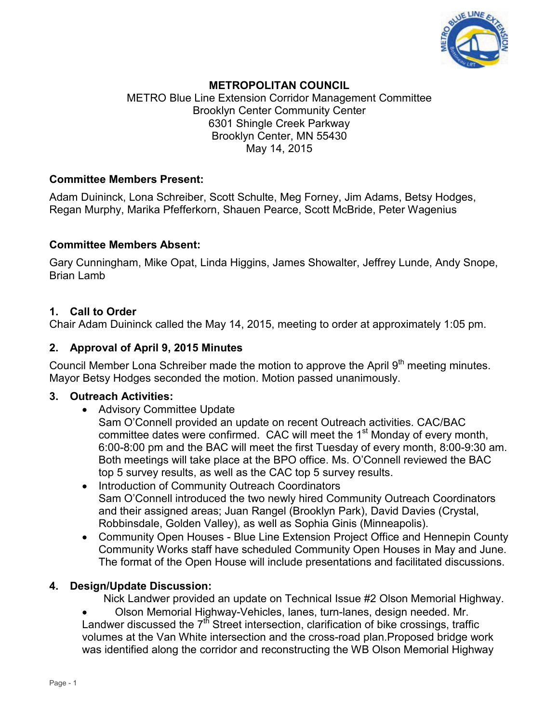

## **METROPOLITAN COUNCIL**

METRO Blue Line Extension Corridor Management Committee Brooklyn Center Community Center 6301 Shingle Creek Parkway Brooklyn Center, MN 55430 May 14, 2015

### **Committee Members Present:**

Adam Duininck, Lona Schreiber, Scott Schulte, Meg Forney, Jim Adams, Betsy Hodges, Regan Murphy, Marika Pfefferkorn, Shauen Pearce, Scott McBride, Peter Wagenius

#### **Committee Members Absent:**

Gary Cunningham, Mike Opat, Linda Higgins, James Showalter, Jeffrey Lunde, Andy Snope, Brian Lamb

### **1. Call to Order**

Chair Adam Duininck called the May 14, 2015, meeting to order at approximately 1:05 pm.

### **2. Approval of April 9, 2015 Minutes**

Council Member Lona Schreiber made the motion to approve the April 9<sup>th</sup> meeting minutes. Mayor Betsy Hodges seconded the motion. Motion passed unanimously.

### **3. Outreach Activities:**

• Advisory Committee Update

Sam O'Connell provided an update on recent Outreach activities. CAC/BAC committee dates were confirmed. CAC will meet the  $1<sup>st</sup>$  Monday of every month, 6:00-8:00 pm and the BAC will meet the first Tuesday of every month, 8:00-9:30 am. Both meetings will take place at the BPO office. Ms. O'Connell reviewed the BAC top 5 survey results, as well as the CAC top 5 survey results.

- Introduction of Community Outreach Coordinators Sam O'Connell introduced the two newly hired Community Outreach Coordinators and their assigned areas; Juan Rangel (Brooklyn Park), David Davies (Crystal, Robbinsdale, Golden Valley), as well as Sophia Ginis (Minneapolis).
- Community Open Houses Blue Line Extension Project Office and Hennepin County Community Works staff have scheduled Community Open Houses in May and June. The format of the Open House will include presentations and facilitated discussions.

### **4. Design/Update Discussion:**

Nick Landwer provided an update on Technical Issue #2 Olson Memorial Highway.

• Olson Memorial Highway-Vehicles, lanes, turn-lanes, design needed. Mr. Landwer discussed the  $7<sup>th</sup>$  Street intersection, clarification of bike crossings, traffic volumes at the Van White intersection and the cross-road plan.Proposed bridge work was identified along the corridor and reconstructing the WB Olson Memorial Highway